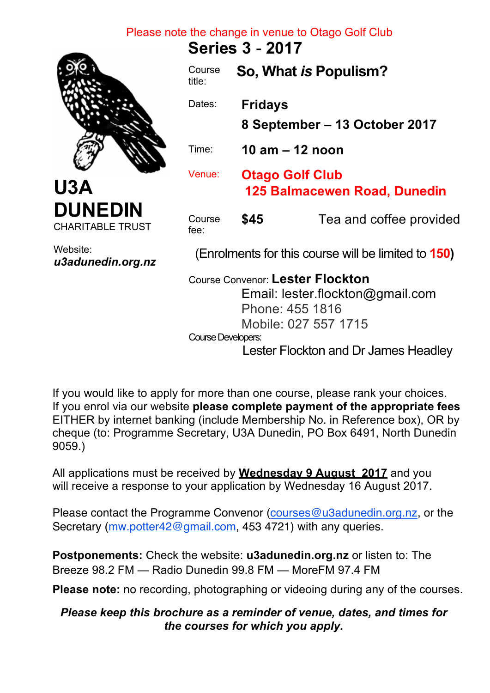## Please note the change in venue to Otago Golf Club

**Series 3** - **2017** 



**U3A DUNEDIN** CHARITABLE TRUST

Website: *u3adunedin.org.nz*

| Course<br>title:   |                                                               | So, What is Populism?                                                                                           |
|--------------------|---------------------------------------------------------------|-----------------------------------------------------------------------------------------------------------------|
| Dates:             | <b>Fridays</b>                                                |                                                                                                                 |
|                    |                                                               | 8 September – 13 October 2017                                                                                   |
| Time:              | 10 am – 12 noon                                               |                                                                                                                 |
| Venue:             | <b>Otago Golf Club</b><br><b>125 Balmacewen Road, Dunedin</b> |                                                                                                                 |
| Course<br>$fee$ :  | \$45                                                          | Tea and coffee provided                                                                                         |
|                    |                                                               | (Enrolments for this course will be limited to 150)                                                             |
|                    |                                                               | Course Convenor: Lester Flockton<br>Email: lester.flockton@gmail.com<br>Phone: 455 1816<br>Mobile: 027 557 1715 |
| Course Developers: |                                                               | $\blacksquare$                                                                                                  |

Lester Flockton and Dr James Headley

If you would like to apply for more than one course, please rank your choices. If you enrol via our website **please complete payment of the appropriate fees** EITHER by internet banking (include Membership No. in Reference box), OR by cheque (to: Programme Secretary, U3A Dunedin, PO Box 6491, North Dunedin 9059.)

All applications must be received by **Wednesday 9 August 2017** and you will receive a response to your application by Wednesday 16 August 2017.

Please contact the Programme Convenor (courses@u3adunedin.org.nz, or the Secretary (mw.potter42@gmail.com, 453 4721) with any queries.

**Postponements:** Check the website: **u3adunedin.org.nz** or listen to: The Breeze 98.2 FM — Radio Dunedin 99.8 FM — MoreFM 97.4 FM

**Please note:** no recording, photographing or videoing during any of the courses.

## *Please keep this brochure as a reminder of venue, dates, and times for the courses for which you apply.*